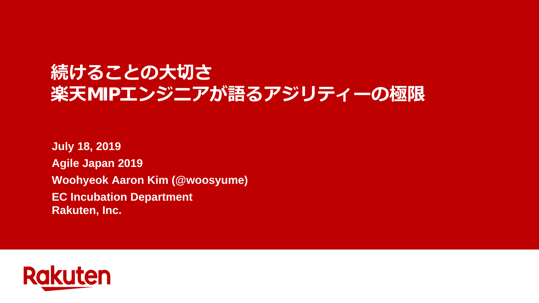# **続けることの大切さ 楽天**MIP**エンジニアが語るアジリティーの極限**

**July 18, 2019 Agile Japan 2019 Woohyeok Aaron Kim (@woosyume) EC Incubation Department Rakuten, Inc.**

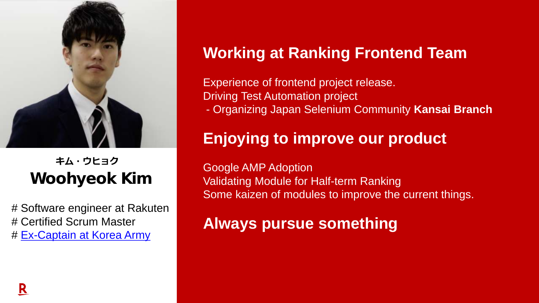

Woohyeok Kim **キム・ウヒョク**

# Software engineer at Rakuten # Certified Scrum Master # [Ex-Captain at Korea Army](#page-2-0)

# **Working at Ranking Frontend Team**

Experience of frontend project release. Driving Test Automation project - Organizing Japan Selenium Community **Kansai Branch**

# **Enjoying to improve our product**

Google AMP Adoption Validating Module for Half-term Ranking Some kaizen of modules to improve the current things.

**Always pursue something**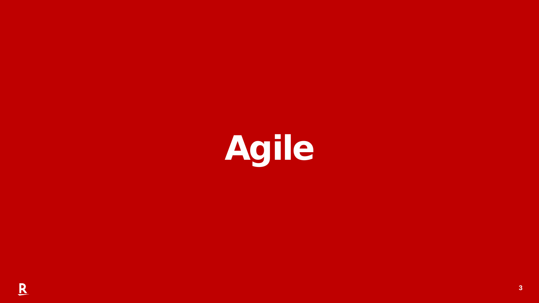<span id="page-2-0"></span>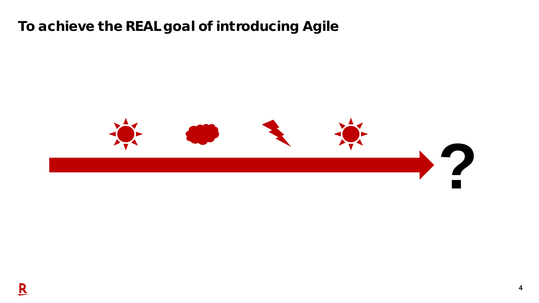## To achieve the REAL goal of introducing Agile

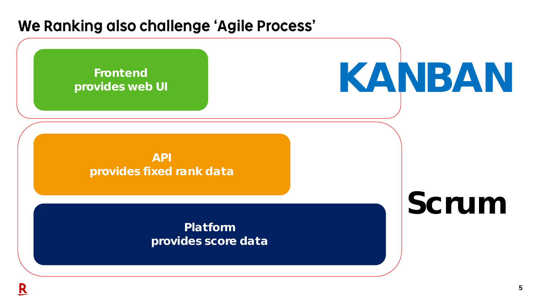# We Ranking also challenge 'Agile Process'

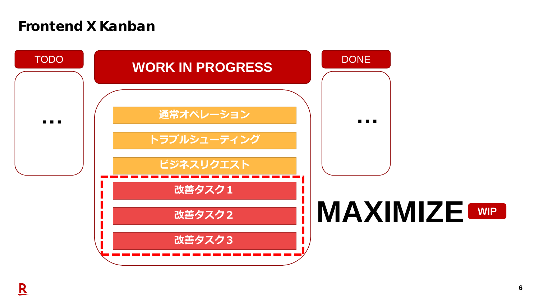#### Frontend X Kanban

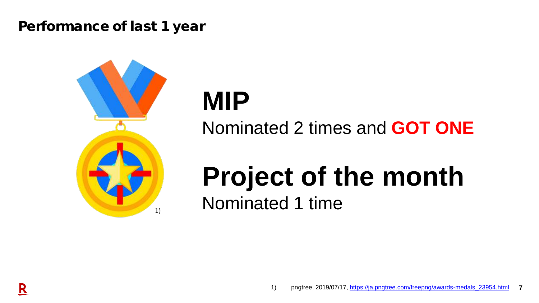#### Performance of last 1 year



# **MIP** Nominated 2 times and **GOT ONE**

# **Project of the month** Nominated 1 time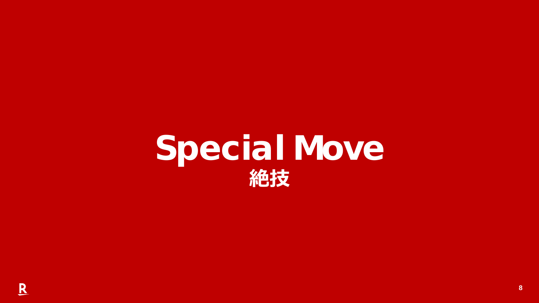# Special Move **絶技**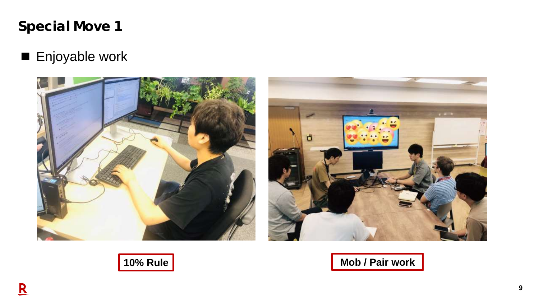

## ■ Enjoyable work







**10% Rule Mob / Pair work**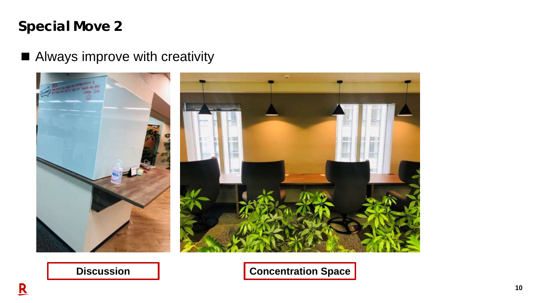## Special Move 2

### ■ Always improve with creativity



**Discussion Concentration Space**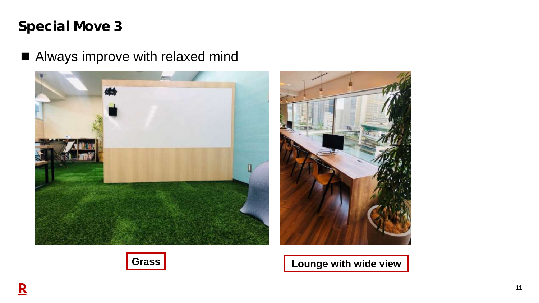## Special Move 3

## ■ Always improve with relaxed mind





**Grass CELC 19 COUNTER COUNTER CONTROLLER CONTROLLER CONTROLLER CONTROLLER CONTROLLER CONTROLLER CONTROLLER CONTROLLER CONTROLLER CONTROLLER CONTROLLER CONTROLLER CONTROLLER CONTROLLER CONTROLLER CONTROLLER CONTROLLER CO** 

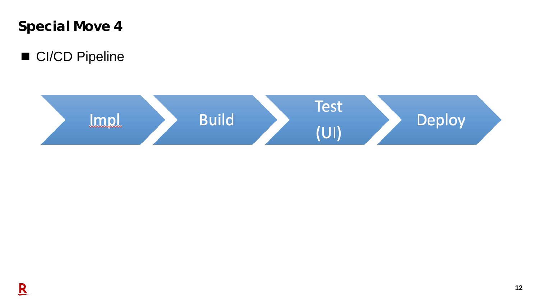Special Move 4

■ CI/CD Pipeline

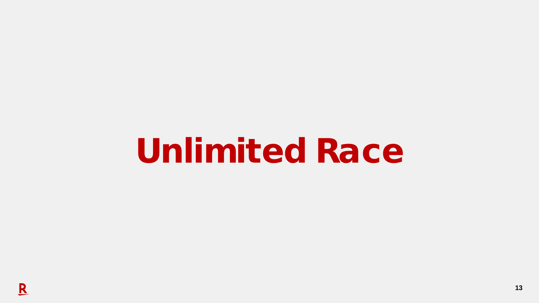Unlimited Race